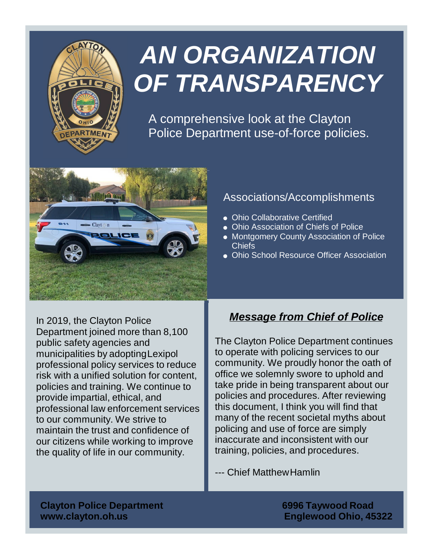

# *AN ORGANIZATION OF TRANSPARENCY*

A comprehensive look at the Clayton Police Department use-of-force policies.



#### Associations/Accomplishments

- Ohio Collaborative Certified
- Ohio Association of Chiefs of Police
- Montgomery County Association of Police Chiefs
- Ohio School Resource Officer Association

In 2019, the Clayton Police Department joined more than 8,100 public safety agencies and municipalities by adoptingLexipol professional policy services to reduce risk with a unified solution for content, policies and training. We continue to provide impartial, ethical, and professional law enforcement services to our community. We strive to maintain the trust and confidence of our citizens while working to improve the quality of life in our community.

## *Message from Chief of Police*

The Clayton Police Department continues to operate with policing services to our community. We proudly honor the oath of office we solemnly swore to uphold and take pride in being transparent about our policies and procedures. After reviewing this document, I think you will find that many of the recent societal myths about policing and use of force are simply inaccurate and inconsistent with our training, policies, and procedures.

--- Chief MatthewHamlin

**Clayton Police Department 6996 Taywood Road www.clayton.oh.us Englewood Ohio, 45322**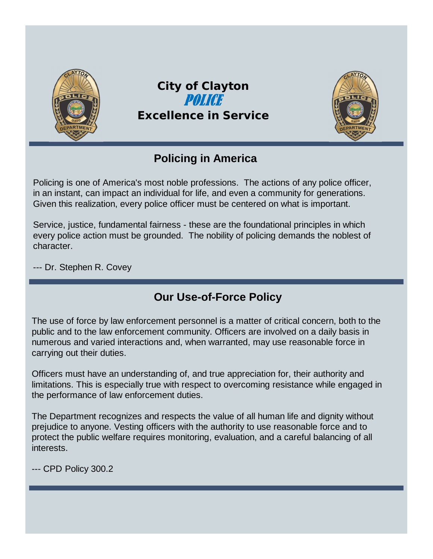

## **Policing in America**

Policing is one of America's most noble professions. The actions of any police officer, in an instant, can impact an individual for life, and even a community for generations. Given this realization, every police officer must be centered on what is important.

Service, justice, fundamental fairness - these are the foundational principles in which every police action must be grounded. The nobility of policing demands the noblest of character.

--- Dr. Stephen R. Covey

## **Our Use-of-Force Policy**

The use of force by law enforcement personnel is a matter of critical concern, both to the public and to the law enforcement community. Officers are involved on a daily basis in numerous and varied interactions and, when warranted, may use reasonable force in carrying out their duties.

Officers must have an understanding of, and true appreciation for, their authority and limitations. This is especially true with respect to overcoming resistance while engaged in the performance of law enforcement duties.

The Department recognizes and respects the value of all human life and dignity without prejudice to anyone. Vesting officers with the authority to use reasonable force and to protect the public welfare requires monitoring, evaluation, and a careful balancing of all interests.

--- CPD Policy 300.2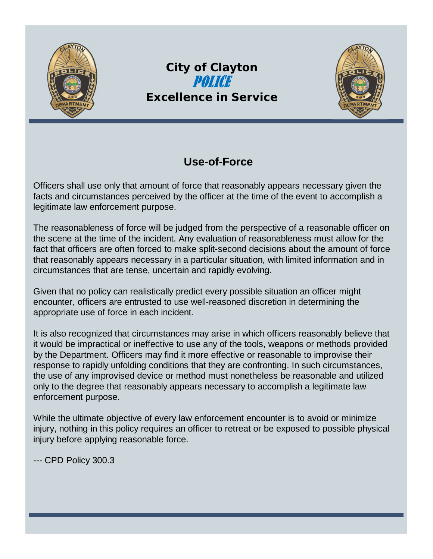

## *City of Clayton Excellence in Service*



## **Use-of-Force**

Officers shall use only that amount of force that reasonably appears necessary given the facts and circumstances perceived by the officer at the time of the event to accomplish a legitimate law enforcement purpose.

The reasonableness of force will be judged from the perspective of a reasonable officer on the scene at the time of the incident. Any evaluation of reasonableness must allow for the fact that officers are often forced to make split-second decisions about the amount of force that reasonably appears necessary in a particular situation, with limited information and in circumstances that are tense, uncertain and rapidly evolving.

Given that no policy can realistically predict every possible situation an officer might encounter, officers are entrusted to use well-reasoned discretion in determining the appropriate use of force in each incident.

It is also recognized that circumstances may arise in which officers reasonably believe that it would be impractical or ineffective to use any of the tools, weapons or methods provided by the Department. Officers may find it more effective or reasonable to improvise their response to rapidly unfolding conditions that they are confronting. In such circumstances, the use of any improvised device or method must nonetheless be reasonable and utilized only to the degree that reasonably appears necessary to accomplish a legitimate law enforcement purpose.

While the ultimate objective of every law enforcement encounter is to avoid or minimize injury, nothing in this policy requires an officer to retreat or be exposed to possible physical injury before applying reasonable force.

--- CPD Policy 300.3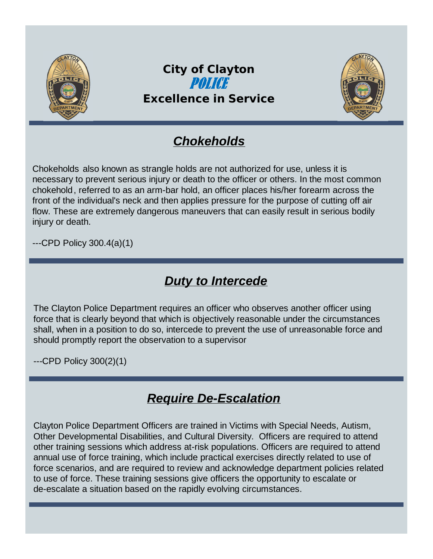

## *Chokeholds*

Chokeholds also known as strangle holds are not authorized for use, unless it is necessary to prevent serious injury or death to the officer or others. In the most common chokehold, referred to as an arm-bar hold, an officer places his/her forearm across the front of the individual's neck and then applies pressure for the purpose of cutting off air flow. These are extremely dangerous maneuvers that can easily result in serious bodily injury or death.

---CPD Policy 300.4(a)(1)

## *Duty to Intercede*

The Clayton Police Department requires an officer who observes another officer using force that is clearly beyond that which is objectively reasonable under the circumstances shall, when in a position to do so, intercede to prevent the use of unreasonable force and should promptly report the observation to a supervisor

---CPD Policy 300(2)(1)

## *Require De-Escalation*

Clayton Police Department Officers are trained in Victims with Special Needs, Autism, Other Developmental Disabilities, and Cultural Diversity. Officers are required to attend other training sessions which address at-risk populations. Officers are required to attend annual use of force training, which include practical exercises directly related to use of force scenarios, and are required to review and acknowledge department policies related to use of force. These training sessions give officers the opportunity to escalate or de-escalate a situation based on the rapidly evolving circumstances.